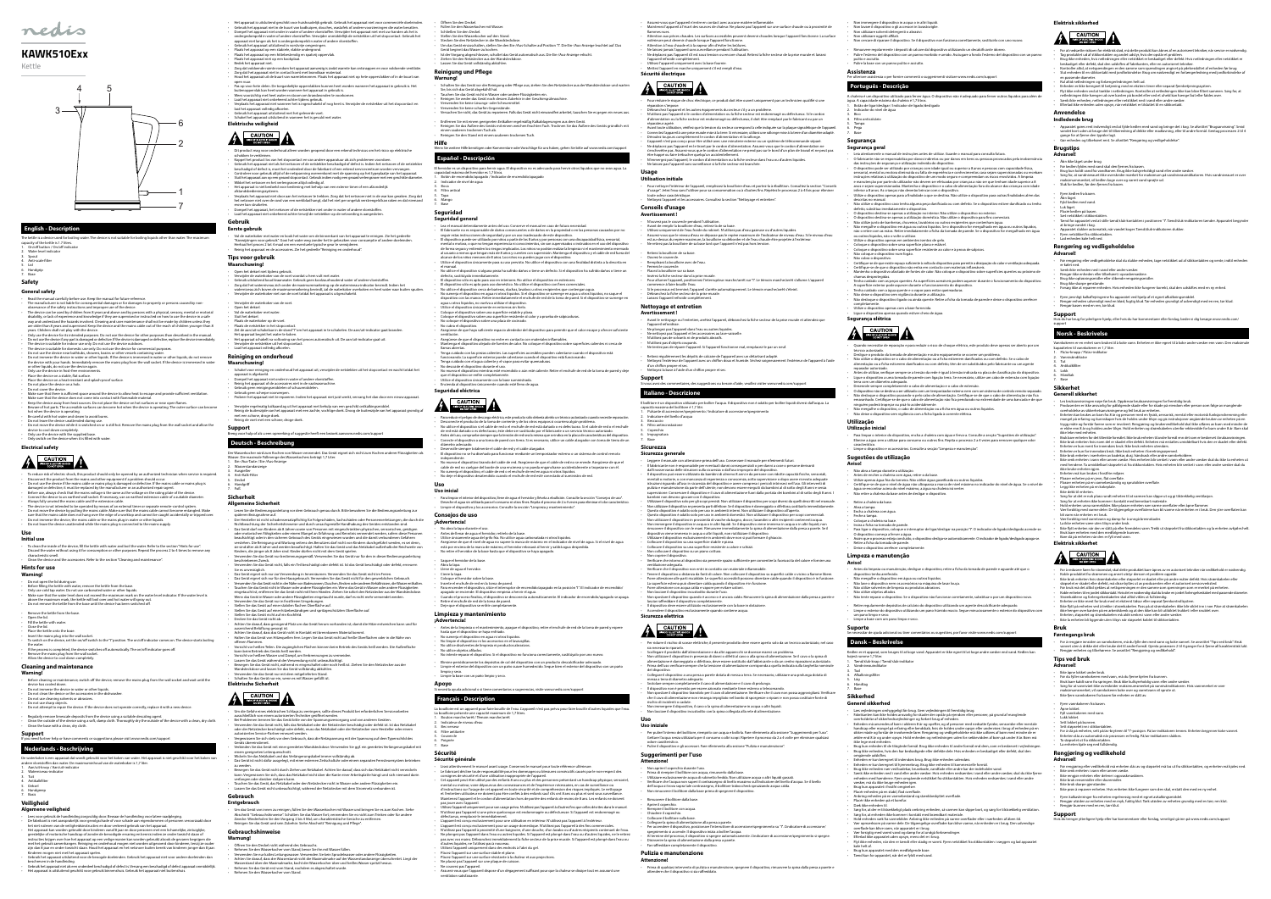

#### **English - Description**

The kettle is a device used for boiling water. The device is not suitable for boiling liquids other than water. The maximur apacity of the kettle is 1.7 litres

- 1. On/off button / On/off indicator Water level indicator
- 3. Spout 4. Anti-scale filter
- 5. Lid 6. Handgrip 7. Base
- 

## **Safety**

## **General safety**

- Read the manual carefully before use. Reep the manual for it<br>turner effence. The manufacturer is not liable for consequential damages or for damages to property or persons caused by non-<br>observance of the safety instruct
- 
- 
- 
- 
- Only use the device in frost-free environments.<br>Place the device on a stable, flat surface.
- Place the device on a heat-resistant and splash-proof surface. Do not place the device on a hob.
- 
- Do not cover the device. Make sure that there is sufficient space around the device to allow heat to escape and provide sufficient ventilation.
- Make sure that the device does not come into contact with flammable material.<br>• Keep the device away from heat sources. Do not place the device on hot surfaces or near open flames.<br>• Beware of hot parts. The accessible s
- 
- hot when the device is operating. Be careful with hot water and steam to avoid burns.
- Do not leave the device unattended during use. Do not move the device while it is switched on or is still hot. Remove the mains plug from the wall socket and allow the
- device to cool down completely. Only use the device with the supplied base. Inly switch on the device when it is filled with wate

# REKOFFEECTRIC SHOCK

- **Warning!** • Before cleaning or maintenance, switch off the device, remove the mains plug from the wall socket and wait until the device has cooled down.
- Do not immerse the device in water or other liquids.
- Do not clean the device or the accessories in the dishwasher. Do not use cleaning solvents or abrasives.
- Do not use sharp objects. • Do not attempt to repair the device. If the device does not operate correctly, replace it with a new device.
- 
- Regularly remove limescale deposits from the device using a suitable descaling agent.<br>• Clean the outside of the device using a soft, damp cloth. Thoroughly dry the outside of the device with a clean, dry cloth.

**Electrical safety**

- 
- To reduce risk of electric shock, this product should only be opened by an authorized technician when service is required.<br>- Disconnect the product from the mains and other equipment if a problem should occur.<br>- Do not u
- 
- 
- The device is not intended to be operated by means of an external timer or separate remote-control system. • The device is not intermedent to be a pulling to pulling the mains mains in the mains cable cannot become ent<br>Do not move the device by pulling the mains cable. Make sure that the mains cable cannot become ent
- sure that the mains cable does not hang over the edge of a worktop and cannot be caught accidentally or tripped over.<br>Do not immerse the device, the mains cable or the mains plug in water or other liquids.<br>Do not leave the

#### **Support** If help or have comments or suggestions please visit www.nedis.com/support

- 
- Les voor gebruik de handleiding zorgvuldig door. Bewaar de handleiding voor latere raadpleging.<br>
De fabrikant is niet aansprakelijk voor gevolgschade of voor schede aan eigendommen of personen veroorzaakt door<br>
het niet na
- Kinderen mogen niet met het apparaat spelen. Gebruik het apparaat uitsluitend voor de beoogde doeleinden. Gebruik het apparaat niet voor andere doeleinden dan beschreven in de handleiding.<br>Ireven in de handleiding. • Gebruik het apparaat niet als een onderdeel beschadigd of defect is. Vervang een beschadigd of defect apparaat onmiddellijk. • Het apparaat is uitsluitend geschikt voor gebruik binnenshuis. Gebruik het apparaat niet buitenshuis.

Het apparaat is uitsluitend geschikt voor huishoudelijk gebruik. Gebruik het apparaat niet voor commerciële doeleinden.<br>Cebruik het apparaat niet in de buurt van badkuipen, douches, wastafels of andere voorzieningen die wa

#### **Use Initial use**

- To clean the inside of the device, fill the kettle with water and boil the water. Refer to the section "Hints for use". Discard the water without using it for consumption or other purposes. Repeat the process 2 to 4 times to remove any characteristic smell. • Clean the device and the accessories. Refer to the section "Cleaning and maintenance".
- **Hints for use**

#### **Warning!**

- 
- 
- Do not open the lid during use.<br>• Before filling the kettle with water, remove the kettle from the base.<br>• Only use cold tap water. Do not use carbonated water or other liquids.<br>• Make sure that the water level does not
- 
- 
- 
- 
- Remove the kettle from the base.<br>
 Open the lid.<br>
 Fill the kettle with water.<br>
 Close the lid.<br>
 Place the kettle onto the base.<br>
 Dave the well socket.<br>
 Dave with on the device, set the on/off switch to the "I"
- 

#### **Cleaning and maintenance**

- schokken te verkleinen.<br>Schokken te verkleinen.<br>Konnel het product los van het stopcontact en van andere apparatuur als zich problemen voordoer • Koppel het product los van het stopcontact en van andere apparatuur als zich problemen voordoen.<br>Cebruik het apparaat niet als het netsnoer of de netstekker beschadigd of defect is, Indien het netsnoer of de<br>netschadigd
- 
- afstandsbedieningssysteem.<br>• Verplaats het apparaat niet door aan het netsnoer te trekken. Zorg dat het netsnoer niet in de war kan geraken. Zorg dat<br>het netsnoer niet over de rand van een werkblad hangt, dat het niet per erover kan struikelen. • Dompel het apparaat, het netsnoer of de netstekker niet onder in water of andere vloeistoffen.
- Laat het apparaat niet onbeheerd achter terwijl de netstekker op de netvoeding is aangesloten.

• Vul de waterkoker met water en kook het water om de binnenkant van het apparaat te reinigen. Zie het gedeelte "Aanwijzingen voor gebruik". Gooi het water weg zonder het te gebruiken voor consumptie of andere doeleinden.<br>Herhaal het proces 2 tot 4 maal om een eventuele typische geur te verwijderen.<br>• Reinig het apparaat en de ac

- **Waarschuwing!**
- 
- Open het deksel niet tijdens gebruik.<br>- Verwijder de waterkoker van de voet voordat u hem vult met water.<br>- Gebruik uitsluitend koud kraanwater. Gebruik geen koolzuurhoudend water of andere vloeistoffen.<br>- Zorg dat het w • Verwijder de waterkoker van de voet.
- 
- 
- 
- Open het deksel.<br>• Vul de waterkoker met water.<br>• Plaats de waterkoker op de voet.<br>• Plaats de waterkoker op de voet.<br>• Plaats de waterkoker in het stopcontact.<br>• Zet de aan/uit-schakelar in de stand "I" om het apparaat
- 
- 

- **Nederlands Beschrijving**
- De waterkoker is een apparaat dat wordt gebruikt voor het koken van water. Het apparaat is niet geschikt voor het koken van
- andere vloeistoffen dan water. De maximuminhoud van de waterkoker is 1,7 liter. 1. Aan/uit-knop / Aan/uit-indicator
- Waterniveau-indicator 3. Tuit
- 4. Antikalkfilter 5. Deksel
- 6. Handgreep 7. Basis

#### **Veiligheid Algemene veiligheid**

• Der Hersteller ist nicht schadensersatzpflichtig für Folgeschäden, Sachschäden oder Personenverletzungen, die durch die Nichtbeachtung der Sicherheitshinweise und durch unsachgemäße Handhabung des Gerätes entstanden sind.<br>Das Gerät darf von Kindern ab 8 Jahren sowie von Personen mit eingeschränkten physischen, sensorischen, geistigen<br>der mo beaufsichtigt oder in den sicheren Gebrauch des Geräts eingewiesen wurden und die damit verbundenen Gefahren verstehen. Die Reinigung und Wartung seitens des Benutzers darf nicht von Kindern durchgeführt werden, es sei denn, sie sind älter als 8 Jahre und werden beaufsichtigt. Halten Sie das Gerät und das Netzkabel außerhalb der Reichweite von<br>Kindern, die jünger als 8 Jahre sind. Kinder dürfen nicht mit dem Gerät spielen.<br>• Verwenden Sie das

bewegen sie das derat ment, wannend es eingesenatet oder<br>Wandsteckdose und lassen Sie das Gerät vollständig abkühle • Verwenden Sie das Gerät nur mit dem mitgelieferten Stand. • Schalten Sie das Gerät nur ein, wenn es mit Wasser gefüllt ist.

- Um die Gefahr eines elektrischen Schlags zu verringern, sollte dieses Produkt bei erforderlichen Servicearbeiten<br>- Bei Problemen trennen autorisierten Techniker geöffnet werden.<br>- Bei Problemen trennen Sie das Gerät bitt oder der Netzstecker beschädigt oder defekt, muss das Netzkabel oder der Netzstecker vom Hersteller oder einem

• Bewegen Sie das Gerät nicht durch Ziehen am Netzkabel. Achten Sie darauf, dass sich das Netzkabel nicht verwickeln kann. Vergewissern Sie sich, dass das Netzkabel nicht über die Kante einer Arbeitsplatte hängt und sich niemand darir • Öffnen Sie den Deckel. Füllen Sie den Wasserkocher mit Wasse



sies is sich das Gerät abgekühlt hat.<br>Sie, bis sich das Gerät abgekühlt hat.<br>auchen Sie das Gerät nicht in Wasser oder andere Elüssigkeiten ein • Tauchen Sie das Gerät nicht in Wasser oder andere Flüssigkeiten ein. • Reinigen Sie weder das Gerät noch dessen Zubehör in der Geschirrspülmaschine.

#### **Gebruik Eerste gebruik**

## **Tips voor gebruik**

#### **Reiniging en onderhoud**

- **Waarschuwing!**
- Schakel voor reiniging en onderhoud het apparaat uit, verwijder de netstekker uit het stopcontact en wacht totdat het apparaat is afgekoeld. •<br>• mpel het apparaat niet onder in water of andere vloeistoffen
- Reinig het apparaat of de accessoires niet in de vaatwasmachine. • Gebruik geen reinigingsmiddelen of schuurmiddelen.
- 
- Gebruik geen scherpe voorwerpen. Probeer het apparaat niet te repareren. Indien het apparaat niet juist werkt, vervang het dan door een nieuw apparaat. Verwijder regelmatig kalkaanslag uit het apparaat met behulp van een geschikt ontkalking
- Reinig de buitenzijde van het apparaat met een zachte, vochtige doek. Droog de buitenzijde van het apparaat grondig af ,<br>en schone, droge doek • Reinig de voet met een schone, droge doek.

Der Wasserkocher wird zum Kochen von Wasser verwendet. Das Gerät eignet sich nicht zum Kochen anderer Flüssigkeiten als<br>Wasser. Die maximale Füllmenge des Wasserkochers beträgt 1,7 Liter.<br>1. Ein-/Aus-Taste / Ein-/Aus-A

**Support**

#### Breng voor hulp of als u een opmerking of suggestie heeft een bezoek aanwww.nedis.com/support **Deutsch - Beschreibung**

hasta que el dispositivo se haya enfriado. • No sumerja el dispositivo en agua ni otros líquidos. • No limpie el dispositivo ni los accesorios en el lavavajillas. lo utilice disolventes de limpieza ni productos abrasivos

2. Wasserstandanzeige 3. Ausgießer 4. Anti-Kalk-Filter 5. Deckel 6. Handgriff 7. Fuß **Sicherheit Allgemeine Sicherheit**

ssam en en eveneminger.<br>näteren Bezugnahme auf.

eschriebenen Zweck

No intente reparar el dispositivo. Si el dispositivo no funciona correctamente, sustitúyalo por uno nuevo. • Elimine periódicamente los depósitos de cal del dispositivo con un producto descalcificador adecuado. • Limpie el exterior del dispositivo con un paño suave humedecido. Seque bien el exterior del dispositivo con un paño

yuda adicional o si tiene comentarios o sugerencias, visite www.nedis.com/supp

Gerät beginnt das Wasser zu kochen.<br>• Ist der Vorgang abgeschlossen, schaltet das Gerät automatisch aus. Die Ein-/Aus-Anzeige erlischt.<br>• Ziehen Sie den Netzstecker aus der Wandsteckdose.<br>• Lassen Sie das Gerät vollständig

ouilloire présente une capacité maximum de 1,7 litres 1. Bouton marche/arrêt / Témoin marche/arrêt Indicateur de niveau d'eau Bec verseur 4. Filtre antitartre **Couvercle** 6. Poignée 7. Base **Sécurité Sécurité générale**

No utilice objetos afilados.

• Verwenden Sie das Gerät nicht, falls ein Teil beschädigt oder defekt ist. Ist das Gerät beschädigt oder defekt, erneuern

Das Gerät eignet sich nur für den Hausgebrauch. Verwenden Sie das Gerät nicht für den gewerblichen Gebrauch.<br>Terwenden Sie das Gerät nicht in der Nähe von Badewannen, Duschen, Becken oder anderen Behältnissen, die Wasser<br>T

Sie es unverzüglich. • Das Gerät eignet sich nur zur Verwendung in Innenräumen. Verwenden Sie das Gerät nicht im Freien.

Wenn das Gerät in Wasser oder andere Flüssigkeiten eingetaucht wurde, darf es nicht mehr verwendet werden. • Verwenden Sie das Gerät nur in frostfreien Umgebungen. • Stellen Sie das Gerät auf einer stabilen flachen Oberfläche auf.

**Sécurité électrique EXPERIENCE** 

• Stellen Sie das Gerät auf einer hitzebeständigen und spritzgeschützten Oberfläche auf.

• Stellen Sie das Gerät nicht auf ein Kochfeld.

ann beim Betrieb des Geräts heiß werden

• Decken Sie das Gerät nicht ab. • Achten Sie darauf, dass genügend Platz um das Gerät herum vorhanden ist, damit die Hitze entweichen kann und für

ausreichend Belüftung gesorgt ist. • Achten Sie darauf, dass das Gerät nicht in Kontakt mit brennbarem Material kommt.

• Halten Sie das Gerät von Hitzequellen fern. Legen Sie das Gerät nicht auf heiße Oberflächen oder in die Nähe von offenen Flammen. • Vorsicht vor heißen Teilen. Die zugänglichen Flächen können beim Betrieb des Geräts heiß werden. Die Außenfläche

**Elektrische Sicherheit**

**CAUTION** 

autorisierten Service-Partner erneuert werden.

• Vergewissern Sie sich stets vor dem Gebrauch, dass die Netzspannung mit der Spannung auf dem Typenschild des Geräts übereinstimmt. • Verbinden Sie das Gerät mit einer geerdeten Wandsteckdose. Verwenden Sie ggf. ein geerdetes Verlängerungskabel mit

einem geeigneten Leiterquerschnitt.

• Wickeln Sie das Netzkabel und das Verlängerungskabel immer vollständig ab.

**Sicurezza generale** - Leggere il manuale con attenzione prima dell'uso. Conservare il manuale per riferimenti futuri.<br>- Il fabbricante non è responsabile per eventuali danni consequenziali o per danni a cose o persone derivanti<br>- dall'inosser mentali o motorie, o con mancanza di esperienza o conoscenza, sotto supervisione o dopo avere ricevuto adeguate<br>istruzioni riguardo all'uso in sicurezza del dispositivo e avere compreso i pericoli intrinseci nell'uso. Gli supervisione. Conservare il dispositivo e il cavo di alimentazione fuori dalla portata dei bambini al di sotto degli 8 anni. I<br>hambini non devono giocare con il dispositivo.<br>• Utilizzare il dispositivo solo per gli scopi

• Non utilizzare il dispositivo in prossimità di vasche da bagno, docce, lavandini o altri recipienti contenenti acqua.<br>• Non immergere il dispositivo in acqua o in altri liquidi. Se il dispositivo viene immerso in rimuovere il dispositivo con le mani. Rimuovere immediatamente la spina di alimentazione dalla presa a parete. Se il<br>dispositivo viene immerso in acqua o altri liquidi, non riutilizzare il dispositivo.<br>• Utilizzare il

• Das Gerät ist nicht dafür ausgelegt, mit einer externen Zeitschaltuhr oder einem separaten Fernsteuersystem betrieben

zu werden.

verfangen oder darüber stolpern kann.

• Tauchen Sie das Gerät, das Netzkabel oder den Netzstecker nicht in Wasser oder andere Flüssigkeiten ein. • Lassen Sie das Gerät nicht unbeaufsichtigt, während der Netzstecker mit dem Stromnetz verbunden ist.

• Um das Gerät von innen zu reinigen, füllen Sie den Wasserkocher mit Wasser und bringen Sie es zum Kochen. Siehe<br>Abschnitt "Gebrauchshinweise". Schütten Sie das Wasser fort, verwenden Sie es nicht zum Trinken oder für an

**Gebrauch Erstgebrauch**

**Gebrauchshinweise**

**Warnung!**

• Öffnen Sie den Deckel nicht während des Gebrauchs.

• Nehmen Sie den Wasserkocher vom Stand, bevor Sie ihn mit Wasser füllen.

• Verwenden Sie nur kaltes Leitungswasser. Verwenden Sie kein Sprudelwasser oder andere Flüssigkeiten. • Achten Sie darauf, dass der Wasserstand nicht die Maximalmarke auf der Wasserstandanzeige überschreitet. Liegt der Wasserstand über der Maximalmarke, kocht der Wasserkocher über und heißes Wasser spritzt heraus.

• Vorsicht vor heißem Wasser und Dampf, um Verbrennungen zu vermeiden.<br>• Lassen Sie das Gerät während der Verwendung nicht unbeaufsichtigt.<br>• Bewegen Sie das Gerät nicht, während es eingeschaltet oder noch he

Lesen Sie die Bedienungsanleitung vor dem Gebrauch genau durch. Bitte bewahren Sie die Bedienung

• Nehmen Sie das Gerät erst vom Stand, nachdem es abgeschaltet wurde.

• Non spostare il dispositivo quando è acceso o è ancora caldo. Rimuovere la spina di alimentazione dalla presa a parete e<br>| lasciar raffreddare il dispositivo completamente.<br>• Il dispositivo deve essere utilizzato esclus • Accendere il dispositivo esclusivamente quando contiene acqua.

**Sicurezza elettrica EXAUTION** 

• Nehmen Sie den Wasserkocher vom Stand.

eci enspositivo.<br>Collegare il dispositivo a una presa a parete dotata di messa a terra. Se necessario, utilizzare una pro messa a terra di diametro adeguato. • Srotolare sempre completamente il cavo di alimentazione e il cavo di prolunga.

li dispositivo non è previsto per essere azionato mediante timer esterno o telecomando.<br>Non spostare il dispositivo tirandolo per il cavo di alimentazione. Verificare che il cavo non possa aggrovigliarsi. Verificare<br>he il ischio di incidenti o cadute.

**Reinigung und Pflege**

**Warnung!**

• Schalten Sie das Gerät vor der Reinigung oder Pflege aus, ziehen Sie den Netzstecker aus der Wandsteckdose und warten

• Verwenden Sie keine Lösungs- oder Scheuermittel.<br>• Verwenden Sie keine scharfen Gegenstände.<br>• Versuchen Sie nicht, das Gerät zu reparieren. Falls das Gerät nicht einwandfrei arbeitet, tauschen Sie es gegen ein neues aus

. "Per pulire l'interno del bollitore, riempirlo con acqua e bollirla. Fare riferimento alla sezione "Suggerimenti per l'uso".<br>Gettare l'acqua senza utilizzarla per il consumo o altri scopi. Ripetere il processo da 2 a 4 v odore caratteristico. • Pulire il dispositivo e gli accessori. Fare riferimento alla sezione "Pulizia e manutenzione".

• Entfernen Sie mit einem geeigneten Entkalker regelmäßig Kalkablagerungen aus dem Gerät. • Reinigen Sie das Äußere des Geräts mit einem weichen feuchten Tuch. Trocknen Sie das Äußere des Geräts gründlich mit

tere Hilfe benötigen oder Kommentare oder Vorschläge für uns haben, gehen Sie bitte auf www.nedis.

El hervidor es un dispositivo para hervir agua. El dispositivo no es adecuado para hervir otros líquidos que no sean agua. La<br>capacidad máxima del hervidor es 1,7 litros.<br>1. Indicador de nivel de agua<br>2. Indicador

Lea el manual detenidamente antes del uso. Conserve el manual en caso de futura necesidad.<br>El fabricante no es responsable de daños consecuentes o de daños en la propiedad o en las personas causados por no<br>seguir estas ins

el manual.<br>
a manual de plaspositivo si alguna pieza ha sufrido daños o tiene un defecto. Si el dispositivo ha sufrido daños o tiene un defecto, sustituyalo inmediatamente.<br>
• El dispositivo sólo es apto para uso en interi

- Asegúrese de que el dispositivo no entre en contacto con materiales inflamables.<br>
Mantenga el dispositivo alejado de fuentes de calor. No coloque el dispositivo sobre superficies calientes ni cerca de<br>
Ilemas abiertas.<br>

Para reducir el peligro de descarga eléctrica, este producto sólo debería abrirlo un técnico autorizado cuando necesite reparación • Desconecte el producto de la toma de corriente y de los otros equipos si ocurriera algún problema.<br>• No utilice el dispositivo si el cable de red o el enchufe de red está dañado o es defectuoso. Si el cable de red o el e de red está dañado o es defectuoso, éste debe ser sustituido por el fabricante o un servicio técnico autorizado. • Antes del uso, compruebe siempre que la tensión de red sea la misma que se indica en la placa de características del dispositivo.<br>• Conecte el dispositivo a una toma de pared con tierra. Si es necesario, utilice un cable

einem sauberen trockenen Tuch ab. • Reinigen Sie den Stand mit einem sauberen trockenen Tuch.

- 
- 
- Plaats het apparaat op een hittebestendig en spatvrij oppervlak.<br>• Plaats het apparaat niet op een kookplaat.<br>• Bedek het apparaat niet.<br>• Zorg dat voldoende ruimte rondom het apparaat aanwezig is
- Zorg dat het apparaat niet in contact komt met brandbaar materiaal. Houd het apparaat uit de buurt van warmtebronnen. Plaats het apparaat niet op hete oppervlakken of in de buurt van open vuur. • Pas op voor hete delen. De toegankelijke oppervlakken kunnen heet worden wanneer het apparaat in gebruik is. Het
- 
- 
- buitenoppervlak kan heet worden wanneer het apparaat in gebruik is.<br>
Y Wees voorzichtig met heet water en stoom om brandwonden te voorkomen.<br>
1. Laat het apparaat niet onbeheerd achter tijdens gebruik.<br>
1. Laat het apparaa
- **Elektrische veiligheid CAUTION**

**Hilfe**

•<br>Al termine del processo, il dispositivo si spegne automaticamente. L'indicatore di accens • Disinserire la spina di alimentazione dalla presa a parete. • Far raffreddare completamente il dispositivo.

**Español - Descripción**

• Non utilizzare solventi detergenti o abrasivi. • Non utilizzare oggetti affilati. • Non cercare di riparare il dispositivo. Se il dispositivo non funziona cor

4. Filtro antical 5. Tapa 6. Mango 7. Base **Seguridad Seguridad general**

> • Não desloque o dispositivo ligado ou ainda quente. Retire a ficha da tomada de parede e deixe o dispositivo arrefecer ompletamente.

• Utilize o dispositivo apenas com a base fornecida. Ligue o dispositivo apenas quando estiver cheio de água.

• Não abra a tampa durante a utilização.<br>• Antes de encher a chaleira com água, retire-a da base.<br>• Utilize apenas água fria da torneira. Não utilize água gaseificada ou outros líquidos.<br>• Certifique-se de água se encontrar acima do nível máximo, a água na chaleira irá verter. • Não retire a chaleira da base antes de desligar o dispositivo.

- Retire a chaleira da base.
- 
- Abra a tampa. Encha a chaleira com água. Feche a tampa.
- 

reche a tampa.<br>Coloque a chaleira na base.<br>Insira a ficha na tomada de parede. • Insira a ficha na tomada de parede. • Para ligar o dispositivo, coloque o interruptor de ligar/desligar na posição "I". O indicador de ligado/desligado acende-se. O dispositivo começa a ferver a água. • Assim que o processo esteja concluído, o dispositivo desliga-se automaticamente. O indicador de ligado/desligado apaga-se.<br>• Petire a ficha da tomada de parede.<br>• Deixe o dispositivo arrefecer completamente.

**Seguridad eléctrica**

REXOFELECTRIC SHOCK

um pano limpo e seco. • Limpe a base com um pano limpo e seco. **Suporte**<br>Se pecessitar de ajuda adicional ou tiver

est rumme 1,7 liter 1. Tænd/sluk-knap / Tænd/sluk-indikator 2. Vandniveauindikator

diámetro adecuado.

• Desenrolle siempre totalmente el cable de red y el cable alargador.

• El dispositivo no se ha diseñado para funcionar mediante un temporizador externo o un sistema de control remoto

independiente.

• No mueva el dispositivo tirando del cable de red. Asegúrese de que el cable de red no se enrede. Asegúrese de que el cable de red no cuelgue del borde de una encimera y no pueda engancharse accidentalmente o tropezarse con él. • No sumerja el dispositivo, el cable de red o el enchufe de red en agua ni otros líquidos. • No deje el dispositivo desatendido cuando el enchufe de red esté conectado al suministro de red.

• Para limpiar el interior del dispositivo, llene de agua el hervidor y llévela a ebullición. Consulte la sección "Consejos de uso".<br>Deseche el agua sin utilizarla para el consumo ni otros fines. Repita el proceso de 2 a

• Utilice únicamente agua del grifo fría. No utilice agua carbonatada ni otros líquidos.<br>• Asegúrese de que el nivel de agua no supere la marca de máximo en el indicador de nivel de agua. Si el nivel de agua<br>• está por en

• Inserte el enchufe de red en la toma de pared.<br>• Para encender el dispositivo, sitúe el interruptor de encendido/apagado en la posición "l". El indicador de encendido/<br>• apagado se enciende. El dispositivo empieza a her

**Uso Uso inicial**

**Consejos de uso ¡Advertencia!** • No abra la tapa durante el uso.

• Antes de llenar de agua el hervidor, retírelo de la base.

• Schließen Sie den Deckel.<br>• Stellen Sie den Wasserkocher auf den Stand.<br>• Stecken Sie den Netzstecker in die Wandsteckdose.<br>• Um das Gerät einzuschalten, stellen Sie den Ein-/Aus-Schalter auf Position "I". Die Ein-/Aus-A

• For at nedsætte risikoen for elektrisk stød, må dette produkt kun åbnes af en autoriseret tekniker, når service er nødvendig. - Tag produktet ud af stikkontakten og andet udstyr, hvis der opstår et problem.<br>- Brug ikke enheden, hvis netledningen eller netstikket er beskadiget eller defekt. Hvis netledningen eller netstikket er<br>- Kontroller altid,

- Rul altid netledningen og forlængerledningen helt ud.<br>- Enheden er ikke beregnet til betjening med en ekstern timer eller separat fjernbetjeningssystem.<br>- Flyt ikke enheden ved at trække i netledningen. Kontroller at ne

• Apparatet gøres rent indvendigt ved at fylde kedlen med vand og bringe det i kog. Se afsnittet "Brugsanvisning". Smid<br>vandet bort uden at bruge det til tilberedning af drikke eller madlavning, eller til andre formål. G

• Saque el hervidor de la base. • Abra la tapa. • Llene de agua el hervidor. • Cierre la tapa. • Coloque el hervidor sobre la base.

• Retire el enchufe de red de la toma de pared. Deje que el dispositivo se enfríe co **Limpieza y mantenimiento**

**¡Advertencia!**

• Antes de la limpieza o el mantenimiento, apague el dispositivo, retire el enchufe de red de la toma de pared y espere

• Fiern netstikket fra stikkon • Lad enheden køle helt ned.

limpio y seco. • Limpie la base con un paño limpio y seco.

**Apoyo**

**Français - Description**

kapasiteten til vannkokeren er 1,7 liter. 1. På/av-knapp / På/av-indikator 2. Vannivåindikator 3. Tut 4. Antikalkfilter 5. Lokk 6. Håndtak 7. Base **Sikkerhet Generell sikkerhet**

La bouilloire est un appareil pour faire bouillir de l'eau. L'appareil n'est pas prévu pour faire bouillir d'autres liquides que l'eau.

Lisez attentivement le manuel avant usage. Conservez le manuel pour toute référence ultérieure.<br>Le fabricant décline toute responsabilité pour les dommages ou blessures consécutifs causés par le non-respect des<br>consignes d

ons jouer avec l'appareil.<br>
• Utilisez Japareil indiquement pour son usage prévu. N'utilisez pas l'appareil à d'autres fins que celles décrites dans le manuel.<br>
• Wuilisez pas l'appareil si une pièce quelconque est endomm

, satisfaministic and the process of the process of the process of the process of the process of the process o<br>The satisfaisante.<br>tion satisfaisante.

• Legg ikke enheten på en kokeplate. Ikke dekk til enheten.

Bruk bare enheten med den medfølgende bunnen • Bare slå på enheten når den er fylt med vann.

• Fjern vannkokeren fra basen. • Åpne lokket. • Fyll vannkokeren med vann. • Lukk lokket. • Sett lokket på bunnen.  ${\small \mathsf{\overline{5}ett}}$  støpselet inn i stikko

Ta støpselet ut fra stikkontakter • La enheten kjøle seg ned fullstendig. **Rengjøring og vedlikehold**

• Assurez-vous que l'appareil n'entre en contact avec aucune matière inflammable.

• Maintenez l'appareil à l'écart des sources de chaleur. Ne placez pas l'appareil sur une surface chaude ou à proximité de flammes nues. • Attention aux pièces chaudes. Les surfaces accessibles peuvent devenir chaudes lorsque l'appareil fonctionne. La surface

extérieure peut devenir chaude lorsque l'appareil fonctionne. • Attention à l'eau chaude et à la vapeur afin d'éviter les brûlures.

• Ne laissez jamais l'appareil sans surveillance pendant l'utilisation.<br>• Ne déplacez pas l'appareil s'il est sous tension ou encore chaud. Retirez la fiche secteur de la prise murale et laissez<br>• D'utilisez l'appareil uni

• Pour réduire le risque de choc électrique, ce produit doit être ouvert uniquement par un technicien qualifié si une réparation s'impose. • Débranchez l'appareil et les autres équipements du secteur s'il y a un problème.

• N'utilisez pas l'appareil si le cordon d'alimentation ou la fiche secteur est endommagé ou défectueux. Si le cordon<br>d'alimentation ou la fiche secteur est endommagé ou défectueux, il doit être remplacé par le fabricant o réparateur agréé.<br>réparateur agréé.<br>Avant toute utilisation, vérifiez que la tension du secteur correspond à celle indiquée sur la plaque signalétique de l'appareil.

Move utilisation, vérifiez que la tension du secteur correspond à celle indiquée sur la plaque signalétique de l'appareil.<br>
Connectez l'appareil aune prise murale mise à la terre. Si récessaire, utilisez une rallonge mise

**Usage**

#### **Utilisation initiale**

• Pour nettoyer l'intérieur de l'appareil, remplissez la bouilloire d'eau et portez-la à ébullition. Consultez la section "Conseils mmation ou à d'autres fins. Répétez le processus 2 à 4 fois pou toute odeur caractéristique. • Nettoyez l'appareil et les accessoires. Consultez la section "Nettoyage et entretien".

**Conseils d'usage**

• N'ouvrez pas le couvercle pendant l'utilisation.<br>• Avant de remplir la bouilloire d'eau, retirez-la de sa base.<br>• Utilisez uniquement de l'eau froide du robinet. N'utilisez pas d'eau gazeuse ou d'autres liquides.<br>• Assu

- Retirez la bouilloire de sa base.<br>- Quvez le couverle.<br>- Remplissez la bouilloire avec de l'eau.<br>- Permez le couverde.<br>- Pacez la bouilloire sur sa base.<br>- Diacez la bouilloire sur sa base.<br>- Placez la bouilloire sur sa

**Avertissement !**

#### **Nettoyage et entretien**

**Avertissement !**

• Avant le nettoyage ou l'entretien, arrêtez l'appareil, débranchez la fiche secteur de la prise murale et attendez que

l'appareil refroidisse.

• Ne plongez pas l'appareil dans l'eau ou autres liquides. • Ne nettoyez pas l'appareil et les accessoires au lave-vaisselle. • N'utilisez pas de solvants ni de produits abrasifs.

• N'utilisez pas d'objets coupants. • Ne tentez pas de réparer l'appareil. Si l'appareil fonctionne mal, remplacez-le par un neuf.

• Retirez régulièrement les dépôts de calcaire de l'appareil avec un détartrant adapté.<br>• Nettoyez l'extérieur de l'appareil avec un chiffon doux et humide. Séchez soigneusement l'extérieur de l'appareil à l'aide d'un chiffon propre et sec. a un chinon propre et sec.<br>Nettoyez la base à l'aide d'un chiffon propre et sec.

entaires, des suggestions ou besoin d'aide, veuillez visiter www.nedis.com/suppor

**Support**

**Italiano - Descrizione**

Il bollitore è un dispositivo utilizzato per bollire l'acqua. Il dispositivo non è adatto per bollire liquidi diversi dall'acqua. La capacità massima del bollitore è 1,7 litri. 1. Pulsante di accensione/spegnimento / Indicatore di accensione/spegnimento 2. Indicatore del livello d'acqua

3. Beccuccio Filtro antinc Coperchio 6. Impugnatura 7. Base **Sicurezza**

• Collocare il dispositivo su una superficie stabile e piana. • Collocare il dispositivo su una superficie resistente a calore e schizzi. • Non collocare il dispositivo su un piano cottura.

• Non coprire il dispositivo. • Verificare che intorno al dispositivo sia presente spazio sufficiente per consentire la fuoriuscita del calore e fornire una ventilazione adeguata. • Verificare che il dispositivo non entri in contatto con materiale infiammabile. • Tenere il dispositivo a distanza da fonti di calore. Non collocare il dispositivo su superfici calde o vicino a fiamme libere.

• Porre attenzione alle parti riscaldate. Le superfici accessibili possono diventare calde quando il dispositivo è in funzione. La superficie esterna può diventare calda quando il dispositivo è in funzione. • Porre attenzione con acqua calda e vapore per evitare ustioni. • Non lasciare il dispositivo incustodito durante l'uso.

• Per ridurre il rischio di scosse elettriche, il presente prodotto deve essere aperto solo da un tecnico autorizzato, nel caso

sia necessario ripararlo.<br>• Scollegare il prodotto dall'alimentazione e da altri apparecchi se dovesse esserci un problema.<br>• Non utilizzare il dispositivo in presenza di danni o difetti al cavo o alla spina di alimentazio

del dispositivo.

• Non immergere il dispositivo, il cavo o la spina di alimentazione in acqua o altri liquidi. • Non lasciare il dispositivo incustodito con la spina collegata alla rete di alimentazione.

**Uso Uso iniziale**

## **Suggerimenti per l'uso**

**Attenzione!**

## • Non aprire il coperchio durante l'uso.

• Prima di riempire il bollitore con acqua, rimuoverlo dalla base. • Utilizzare esclusivamente acqua di rubinetto fredda. Non utilizzare acqua o altri liquidi gassati. • Verificare che l'acqua non superi il contrassegno di livello massimo sull'indicatore del livello d'acqua. Se il livello dell'acqua si trova sopra tale contrassegno, il bollitore traboccherà spruzzando acqua calda.

• Non rimuovere il bollitore dalla base prima di spegnere il dispositivo. • Rimuovere il bollitore dalla base.

• Aprire il coperchio. • Riempire il bollitore con acqua.

• Chiudere il coperchio.

• Collocare il bollitore sulla base. • Collegare la spina di alimentazione alla presa a parete.

• Per accendere il dispositivo, posizionare l'interruttore di accensione/spegnimento su "I". L'indicatore di accensione/ spegnimento si accende. Il dispositivo inizia a bollire l'acqua.

**Pulizia e manutenzione**

**Attenzione!**

• Prima di qualsiasi intervento di pulizia o manutenzione, spegnere il dispositivo, rimuovere la spina dalla presa a parete e

attendere che il dispositivo si sia raffreddato.

• Non immergere il dispositivo in acqua o in altri liquidi. • Non lavare il dispositivo o gli accessori in lavastoviglie.

• Rimuovere regolarmente i depositi di calcare dal dispositivo utilizzando un decalcificante idoneo. • Pulire l'esterno del dispositivo con un panno morbido e umido. Asciugare a fondo l'esterno del dispositivo con un panno pulito e asciutto. • Pulire la base con un panno pulito e asciutto.

**Assistenza**

Per ulteriore assistenza o per fornire commenti o suggerimenti visitare www.nedis.com/support

**Português - Descrição**

A chaleira é um dispositivo utilizado para ferver água. O dispositivo não é adequado para ferver outros líquidos para além de água. A capacidade máxima da chaleira é 1,7 litros. 1. Botão de ligar/desligar / Indicador de ligado/desligado 2. Indicador do nível de água

3. Bico --<br>Itro anticalcário 5. Tampa

> 6. Pega 7. Base

#### **Segurança Segurança geral**

Leia atentamente o manual de instruções antes de utilizar. Guarde o manual para consulta futura.<br>Consideramente o manual de instruções antes de utilização indevida do dispositivo.<br>das instruções de segurança e utilização i

inferior a 8 anos. As crianças não deverão brincar com o dispositivo. • Utilize o dispositivo apenas para a finalidade a que se destina. Não utilize o dispositivo para outras finalidades além das descritas no manual. • Não utilize o dispositivo caso tenha alguma peça danificada ou com defeito. Se o dispositivo estiver danificado ou tenha

defeito, substitua imediatamente o dispositivo.<br>• O dispositivo destina-se apenas a utilização no interior. Não utilize o dispositivo no exterior.<br>• O dispositivo destina-se apenas a utilização doméstica. Não util

- Não utilize junto de banheiras, chuveiros, lavatórios ou outros recipientes que contenham água.<br>- Não mergulhe o dispositivo em água ou outros líquidos. Se o dispositivo for mergulhado em água ou outros líqui

ou outros líquidos, não o volte a utilizar. • Utilize o dispositivo apenas em ambientes isentos de gelo. • Coloque o dispositivo sobre uma superfície plana e estável.

• Coloque o dispositivo sobre uma superfície resistente ao calor e à prova de salpicos.

• Não coloque o dispositivo num fogão. • Não cubra o dispositivo.

• Certifique-se de que existe espaço suficiente à volta do dispositivo para permitir a dissipação do calor e ventilação adequada. • Certifique-se de que o dispositivo não entra em contacto com materiais inflamáveis. • Mantenha o dispositivo afastado de fontes de calor. Não coloque o dispositivo sobre superfícies quentes ou próximo de

chamas desprotegidas. • Tenha cuidado com as peças quentes. As superfícies acessíveis podem aquecer durante o funcionamento do dispositivo. A superfície exterior pode aquecer durante o funcionamento do dispositivo.

• Tenha cuidado com a água quente e o vapor para evitar queimaduras. • Não deixe o dispositivo sem vigilância durante a utilização.

**Segurança elétrica**

# **CAUTION**

Quando necessitar de reparação e para reduzir o risco de choque elétrico, este produto deve apenas ser aberto por um<br>Designe o produto da tomada de alimentação e outro equipamento se ocorrer um problema.<br>Desligue o produto

reparador autorizado.<br>
Antes de utilizar, verifique sempre se a tensão da rede é igual à tensão indicada na placa de classificação do dispositivo.<br>
• Ligue o dispositivo a uma tomada de parede com ligação terra. Se necessá

#### **Utilização**

**Utilização inicial** • Para limpar o interior do dispositivo, encha a chaleira com água e ferva-a. Consulte a secção "Sugestões de utilização". Elimine a água sem a utilizar para consumo ou outros fins. Repita o processo 2 a 4 vezes para remover qualquer odor

característico. • Limpe o dispositivo e os acessórios. Consulte a secção "Limpeza e manutenção".

#### **Sugestões de utilização Aviso!**

### **Limpeza e manutenção**

**Aviso!**

Antes da limpeza ou manutenção, desligue o dispositivo, retire a ficha da tomada de parede e aguarde até que o a examples examples.<br>ositivo tenha arrefecido.

• Não mergulhe o dispositivo em água ou outros líquidos. • Não lave o dispositivo nem os acessórios na máquina de lavar louça. • Não utilize solventes de limpeza ou produtos abrasivos.

• Não utilize objetos afiados. • Não tente reparar o dispositivo. Se o dispositivo não funcionar corretamente, substitua-o por um dispositivo novo. • Retire regularmente depósitos de calcário do dispositivo utilizando um agente descalcificante adequado.

• Limpe o exterior do dispositivo utilizando um pano húmido macio. Segue minuciosamente o exterior do dispositivo com

**Dansk – Beskrivelse**

Kedlen er et apparat, som bruges til at koge vand. Apparatet er ikke egnet til at koge andre væsker end vand. Kedlen kan

- Læs veijedningen omhyggeligt før brug. Gem vejledningen til fremtidig brug.<br>Læs vejledningen omkygeligt før brug. Gem veijedningen af ifremtidig brug.<br>Starkholdelse af sikkerhedsvejledninger og forkert brug af enheden.<br>T

3. Tud 4. Afkalkningsfilter 5. Låg 6. Håndtag 7. Base **Sikkerhed Generel sikkerhed**

ikke lege med enheden. • Brug kun enheden til de tilsigtede formål. Brug ikke enheden til andre formål end dem, som er beskrevet i vejledningen.

- Bruy like enheden, hvis den har beskadigede eller defekte dele. Hvis enheden er beskadiget eller defekt, skal den<br>
- Enheden er kun beregnet til indendørs brug. Brug ikke enheden udendørs.<br>
- Enheden er kun beregnet til

nentários ou sugestões, por favor visite www.nedis.com/su

• Tænd kun for apparatet, når det er fyldt med vand.

**Elektrisk sikkerhed**

**CAUTION** 

**Anvendelse Indledende brug**

**Brugstips Advarsel!**

Åbn ikke låget under brug.

• Brug kun koldt vand fra vandhanen. Brug ikke kulsyreholdigt vand eller andre væsker.

maksimum merket, vil kedlen koge over og varmt vand sprøjte ud.

• Fjern kedlen fra basen. • Åbn låget. • Fyld kedlen med vand. • Luk låget. • Placér kedlen på basen.

• Sæt netstikket i stikkontakten. • Tænd for apparatet ved at stille tænd/sluk-kontakten i positionen "I". Tænd/sluk-indikatoren tænder. Apparatet begynder

- Før rengøring eller vedligeholdelse skal du slukke enheden, tage netstikket ud af stikkontakten og vente, indtil enheden<br>- Sænk ikke enheden ned i vand eller andre væsker.<br>- Rengør ikke enheden ned i vand eller andre væs

• Fjern jævnligt kalkaflejringerne fra apparatet ved hjælp af et egnet afkalkningsmiddel.<br>• Rengør enheden udvendigt med en blød, fugtig klud. Tør enheden grundigt af udvendigt med en ren, tør klud.<br>• Rengør ba

at bringe vandet i kog. • Apparatet slukker automatisk, når vandet koger. Tænd/sluk-indikatoren slukker.

**Rengøring og vedligeholdelse**

Sluk for kedlen, før den fiernes fra base

en passende diameter.<br>Rul altid netledningen og forlængerledningen helt ud.

Før kedlen fyldes med vand skal den fiernes fra basen.

Sørg for, at vandniveauet ikke overskrider mærket for mak

**Advarsel!**

**Support**

Hvis du har brug for yderligere hjælp, eller hvis du har kommentarer eller forslag, beder vi dig besøge www.nedis.com/

support

**Norsk - Beskrivelse**

Vannkokeren er en enhet som brukes til å koke vann. Enheten er ikke egnet til å koke andre væsker enn vann. Den maksimale

• Les bruksanvisningen nøye før bruk. Oppbevar bruksanvisningen for fremtidig bruk.

• Produsenten er ikke ansvarlig for påfølgende skade eller for skade på eiendom eller person som følge av manglende

- Enheten kan brukes av barn fra 8 år og personer med en fysisk, sensorisk, mental eller motorisk funksjonshemming eller<br>tygg måte far ing og kunnskaper hvis de holdes under tilsyn og gis instruksjoner angående bruken av e

overholdelse av sikkerhetsanvisningene og feil bruk av enheten.

ikke leke med enheten.

• Bruk bare enheten for det tiltenkte formålet. Ikke bruk enheten til andre formål enn det som er beskrevet i bruksanvisningen. • Ikke bruk enheten hvis noen del er skadet eller defekt. Enheten må erstattes umiddelbart hvis den er skadet eller defekt.

• Enheten er kun ment for innendørs bruk. Ikke bruk enheten utendørs. • Enheten er kun for innendørs bruk. Ikke bruk enheten i forretningsøyemed. • Ikke bruk enheten i nærheten av badekar, dusj, håndvask eller andre vannbeholdere.

• Ikke senk enheten i vann eller annen væske. Hvis enheten blir senket i vann eller andre væsker skal du ikke ta enheten ut med hendene. Ta umiddelbart støpselet ut fra stikkontakten. Hvis enheten blir senket i vann eller andre væsker skal du

ikke bruke enheten igjen. Enheten må kun brukes i frostfrie miljøe • Plasser enheten på en jevn, flat overflate.

• Plasser enheten på en varmebestandig og sprutsikker overflate.

• Sørg for at det er nok plass rundt enheten til at varmen kan slippe ut og gi tilstrekkelig ventilasjon.

• Sørg for at enheten ikke kommer i kontakt med brennbart materiale.

• Hold enheten unna varmekilder. Ikke plasser enheten nær varme overflater eller åpne flammer.

• Vær forsiktig med varme deler. De tilgjengelige overflatene kan bli varme når enheten er i bruk. Den ytre overflaten kan

bli varm når enheten er i bruk.

**CAUTION** CAUTION

• Vær forsiktig med varmtvann og damp for å unngå brennskader.

• La ikke enheten være uten tilsyn under bruk.

• Ikke flytt enheten når den er slått på eller fremdeles varm. Trekk ut støpselet fra stikkontakten og la enheten avkjøles helt.

For a reducere faren for stromation, skal dette produktet bare åpnes av en autorisert tekniker når vedlikehold er nødvendig.<br>
• Koble produktet fra strømmen og annet ustyr dersom et problem oppstår.<br>
• Ikke bruk enheten hv

**Elektrisk sikkerhet**

**Bruk**

**Førstegangs bruk**

• For å rengjøre innsiden av vannkokeren, må du fylle den med vann og koke vannet. Se avsnittet "Tips ved bruk". Bruk vannet uten å drikke det eller bruke det til andre formål. Gjenta prosessen 2 til 4 ganger for å fjerne all karakteristisk lukt. • Rengjør enheten og tilbehørene. Se avsnittet "Rengjøring og vedlikehold".

• Sørg for at vannivået ikke overskrider maksimumsmerket på vannivåindikatoren. Hvis vannmerket er over<br>− maksimumsmerket, vil vannkokeren koke over og varmtvann vil sprute ut.<br>• Ikke fjern vannkokeren fra basen før enhet

**Tips ved bruk Advarsel!**

• Ikke åpne lokket under bruk.

• Før du fyller vannkokeren med vann, må du fjerne kjelen fra bunnen. • Bruk bare kaldt vann fra springen. Bruk ikke kullsyreholdig vann eller andre væsker.

• For å slå på enheten, sett på/av-bryteren til "I"-posisjon. På/av-indikatoren tennes. Enheten begynner koke vannet.

• Enheten slås av automatisk når prosessen er ferdig. På/av-indikatoren slukkes.

**Advarsel!**

• Før rengjøring eller vedlikehold må enheten slås av og støpselet må tas ut fra stikkontakten, og enheten må kjøles ned. • Ikke senk enheten i vann eller annen væske.

• Ikke rengjør enheten eller delene i oppvaskmaskinen. • Ikke bruk rensemidler eller skuremidler.

• Ikke bruk skarpe gjenstander. • Ikke prøv å reparere enheten. Hvis enheten ikke fungerer som den skal, erstatt den med en ny enhet.

• Fjern kalkavleiringer fra enheten regelmessig med et egnet avkalkingsmiddel.<br>• Rengjør utsiden av enheten med en myk, fuktig klut. Tørk utsiden av enheten grundig med en tørr, ren klut<br>• Rengjør bunnen med en

**Support**

Hvis du trenger ytterligere hjelp eller har kommentarer eller forslag, vennligst gå inn på www.nedis.com/support

nedis

## **KAWK510Exx**

#### Kettle